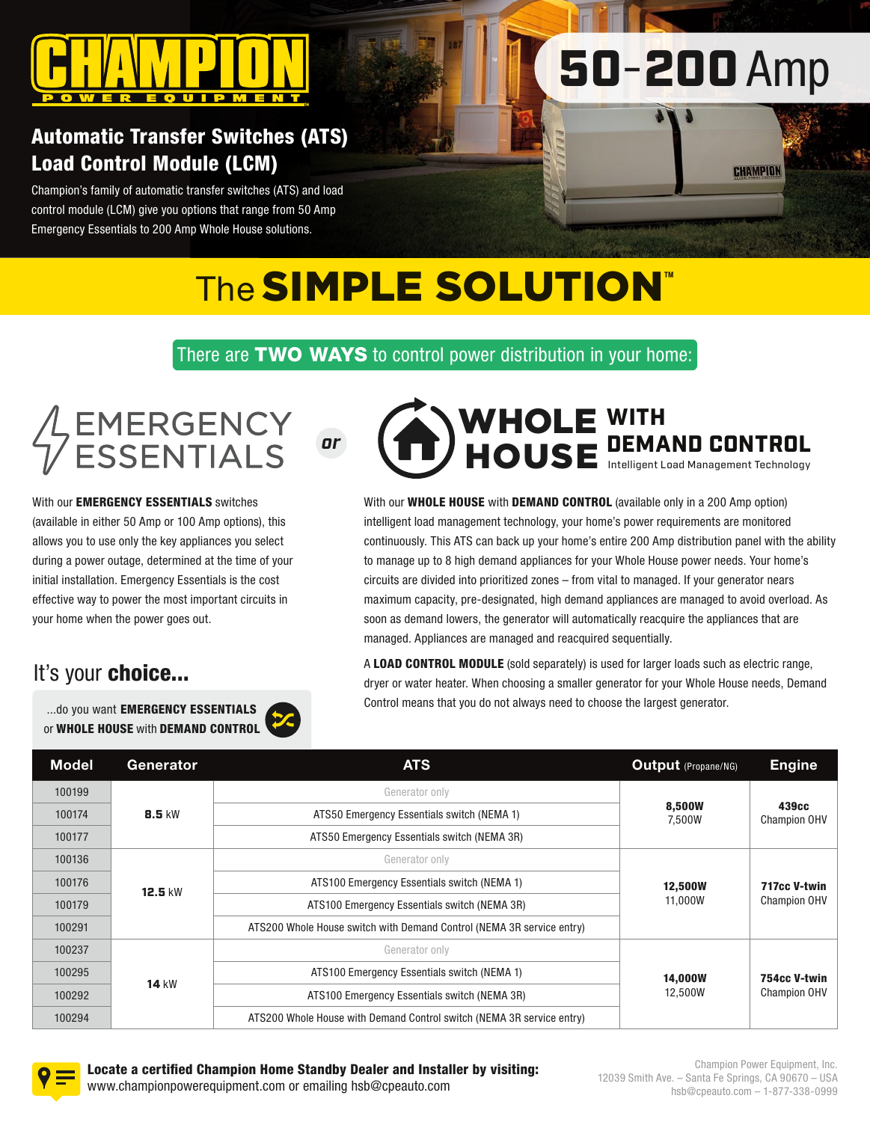

# 50-200 Amp

CHAMPION

## Automatic Transfer Switches (ATS) Load Control Module (LCM)

Champion's family of automatic transfer switches (ATS) and load control module (LCM) give you options that range from 50 Amp Emergency Essentials to 200 Amp Whole House solutions.

## The **SIMPLE SOLUTION**™

There are TWO WAYS to control power distribution in your home:

# EMERGENCY<br>ESSENTIALS

With our **EMERGENCY ESSENTIALS** switches (available in either 50 Amp or 100 Amp options), this allows you to use only the key appliances you select during a power outage, determined at the time of your initial installation. Emergency Essentials is the cost effective way to power the most important circuits in your home when the power goes out.

## It's your choice...

...do you want EMERGENCY ESSENTIALS or WHOLE HOUSE with DEMAND CONTROL



With our **WHOLE HOUSE** with **DEMAND CONTROL** (available only in a 200 Amp option) intelligent load management technology, your home's power requirements are monitored continuously. This ATS can back up your home's entire 200 Amp distribution panel with the ability to manage up to 8 high demand appliances for your Whole House power needs. Your home's circuits are divided into prioritized zones – from vital to managed. If your generator nears maximum capacity, pre-designated, high demand appliances are managed to avoid overload. As soon as demand lowers, the generator will automatically reacquire the appliances that are managed. Appliances are managed and reacquired sequentially.

A LOAD CONTROL MODULE (sold separately) is used for larger loads such as electric range, dryer or water heater. When choosing a smaller generator for your Whole House needs, Demand Control means that you do not always need to choose the largest generator.

| <b>Model</b> | Generator     | <b>ATS</b>                                                            | Output (Propane/NG) | <b>Engine</b>                            |
|--------------|---------------|-----------------------------------------------------------------------|---------------------|------------------------------------------|
| 100199       |               | Generator only                                                        |                     | 439 <sub>cc</sub><br><b>Champion OHV</b> |
| 100174       | <b>8.5 kW</b> | ATS50 Emergency Essentials switch (NEMA 1)                            | 8,500W<br>7,500W    |                                          |
| 100177       |               | ATS50 Emergency Essentials switch (NEMA 3R)                           |                     |                                          |
| 100136       | 12.5 kW       | Generator only                                                        |                     | 717cc V-twin<br><b>Champion OHV</b>      |
| 100176       |               | ATS100 Emergency Essentials switch (NEMA 1)                           | <b>12,500W</b>      |                                          |
| 100179       |               | ATS100 Emergency Essentials switch (NEMA 3R)                          | 11,000W             |                                          |
| 100291       |               | ATS200 Whole House switch with Demand Control (NEMA 3R service entry) |                     |                                          |
| 100237       |               | Generator only                                                        |                     | 754cc V-twin<br><b>Champion OHV</b>      |
| 100295       | <b>14 kW</b>  | ATS100 Emergency Essentials switch (NEMA 1)                           | <b>14.000W</b>      |                                          |
| 100292       |               | ATS100 Emergency Essentials switch (NEMA 3R)                          | 12,500W             |                                          |
| 100294       |               | ATS200 Whole House with Demand Control switch (NEMA 3R service entry) |                     |                                          |